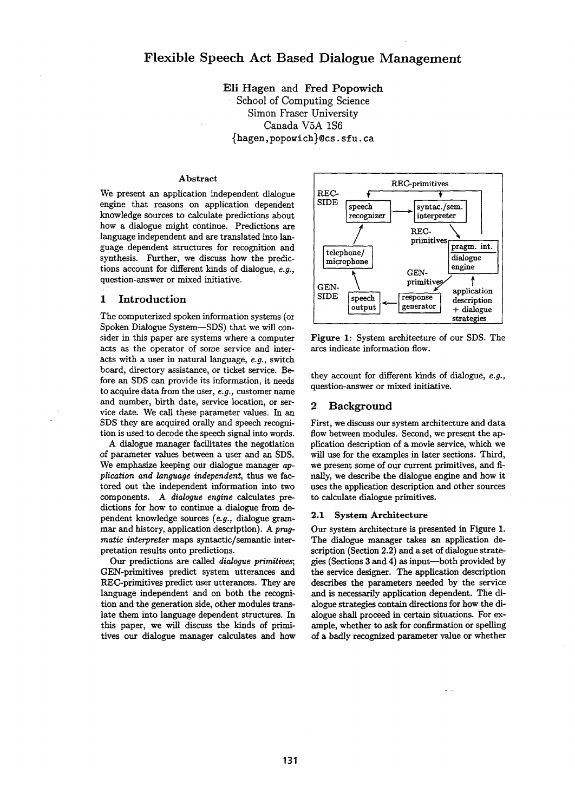**Eli** Hagen and Fred Popowich School of Computing Science Simon Fraser University Canada V5A 1S6 {hagen, popowich}@cs, sfu. ca

### **Abstract**

We present an application independent dialogue engine that reasons on application dependent knowledge sources to calculate predictions about how a dialogue might continue. Predictions are language independent and are translated into language dependent structures for recognition and synthesis. Further, we discuss how the predictions account for different kinds of dialogue, *e.g.,*  question-answer or mixed initiative.

### 1 Introduction

The computerized spoken information systems (or Spoken Dialogue System--SDS) that we will consider in this paper are systems where a computer acts as the operator of some service and interacts with a user in natural language, *e.g.,* switch board, directory assistance, or ticket service. Before an SDS can provide its information, it needs to acquire data from the user, *e.g.,* customer name and number, birth date, service location, or service date. We call these parameter values. In an SDS they are acquired orally and speech recognition is used to decode the speech signal into words.

A dialogue manager facilitates the negotiation of parameter values between a user and an SDS. We emphasize keeping our dialogue manager *application and language independent,* thus we factored out the independent information into two components. A *dialogue engine* calculates predictions for how to continue a dialogue from dependent knowledge sources *(e.g.,* dialogue grammar and history, application description). A *pragmatic interpreter* maps syntactic/semantic interpretation results onto predictions.

Our predictions are called *dialogue primitives;*  GEN-primitives predict system utterances and REC-primitives predict user utterances. They are language independent and on both the recognition and the generation side, other modules translate them into language dependent structures. In this paper, we will discuss the kinds of primitives our dialogue manager calculates and how



Figure 1: System architecture of our SDS. The arcs indicate information flow.

they account for different kinds of dialogue, *e.g.,*  question-answer or mixed initiative.

# 2 Background

First, we discuss our system architecture and data flow between modules. Second, we present the application description of a movie service, which we will use for the examples in later sections. Third, we present some of our current primitives, and finaUy, we describe the dialogue engine and how it uses the application description and other sources to calculate dialogue primitives.

# 2.1 System Architecture

Our system architecture is presented in Figure 1. The dialogue manager takes an application description (Section 2.2) and a set of dialogue strategies (Sections 3 and 4) as input--both provided by the service designer. The application description describes the parameters needed by the service and is necessarily application dependent. The dialogue strategies contain directions for how the dialogue shall proceed in certain situations. For example, whether to ask for confirmation or spelling of a badly recognized parameter value or whether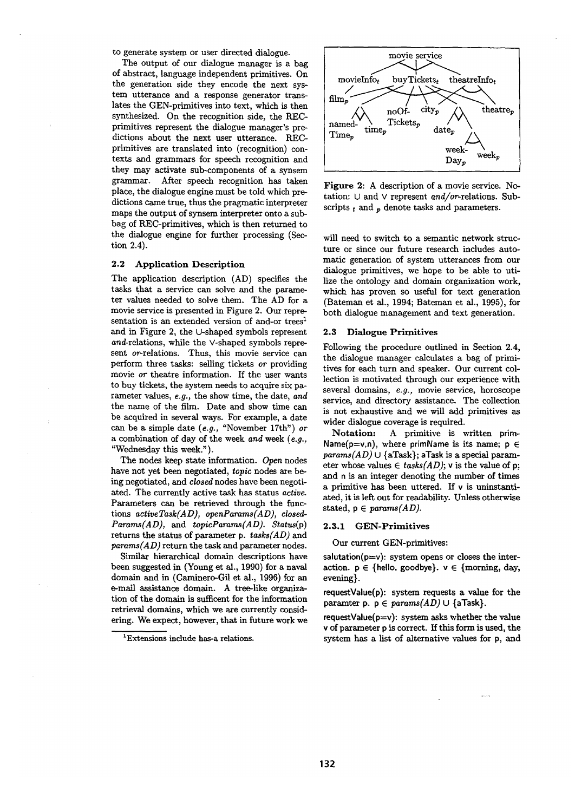to generate system or user directed dialogue.

The output of our dialogue manager is a bag of abstract, language independent primitives. On the generation side they encode the next system utterance and a response generator translates the GEN-primitives into text, which is then synthesized. On the recognition side, the RECprimitives represent the dialogue manager's predictions about the next user utterance. RECprimitives are translated into (recognition) contexts and grammars for speech recognition and they may activate sub-components of a synsem grammar. After speech recognition has taken place, the dialogue engine must be told which predictions came true, thus the pragmatic interpreter maps the output of synsem interpreter onto a subbag of REC-primitives, which is then returned to the dialogue engine for further processing (Section 2.4).

### 2.2 Application Description

The application description (AD) specifies the tasks that a service can solve and the parameter values needed to solve them. The AD for a movie service is presented in Figure 2. Our representation is an extended version of and-or trees<sup>1</sup> and in Figure 2, the U-shaped symbols represent *and-relations,* while the V-shaped symbols represent or-relations. Thus, this movie service can perform three tasks: selling tickets *or* providing movie *or* theatre information. If the user wants to buy tickets, the system needs to acquire six pararneter values, *e.g.,* the show time, the date, *and*  the name of the film. Date and show time can be acquired in several ways. For example, a date can be a simple date (e.g., "November 17th") or a combination of day of the week *and* week *(e.g.,*  "Wednesday this week.").

The nodes keep state information. *Open* nodes have not yet been negotiated, *topic* nodes are being negotiated, and *closed* nodes have been negotiated. The currently active task has status *active.*  Parameters can be retrieved through the functions *activeTask(AD), openParams(AD), closed-Params(AD), and topicParams(AD). Status(p)*  returns the status of parameter p. *tasks(AD) and params(AD)* return the task and parameter nodes.

Similar hierarchical domain descriptions have been suggested in (Young et al., 1990) for a naval domain and in (Caminero-Gil et al., 1996) for an e-mall assistance domain. A tree-like organization of the domain is sufficent for the information retrieval domains, which we are currently considering. We expect, however, that in future work we



Figure 2: A description of a movie service. Notation: U and v represent *and/or-relations.* Subscripts  $t_i$  and  $n_i$  denote tasks and parameters.

will need to switch to a semantic network structure or since our future research includes automatic generation of system utterances from our dialogue primitives, we hope to be able to utilize the ontology and domain organization work, which has proven so useful for text generation (Bateman et al., 1994; Bateman et al., 1995), for both dialogue management and text generation.

### 2.3 Dialogue Primitives

Following the procedure outlined in Section 2.4, the dialogue manager calculates a bag of primitives for each turn and speaker. Our current collection is motivated through our experience with several domains, *e.g.,* movie service, horoscope service, and directory assistance. The collection is not exhaustive and we will add primitives as wider dialogue coverage is required.

**Notation:** A primitive is written prim-Name( $p=v,n$ ), where primName is its name;  $p \in$ *params(AD)*  $\cup$  {aTask}; aTask is a special parameter whose values  $\in$  *tasks(AD)*; v is the value of p; and n is an integer denoting the number of times a primitive has been uttered. If v is uninstantiated, it is left out for readability. Unless otherwise stated,  $p \in *params(AD)*$ .

# 2.3.1 GEN-Primitives

### Our current GEN-primitives:

 $salutation(p=v):$  system opens or closes the interaction,  $p \in \{$ hello, goodbye},  $v \in \{$ morning, day, evening}.

requestValue(p): system requests a value for the paramter p.  $p \in *params(AD)* \cup {aTask}$ .

 $requestValue(p=v)$ : system asks whether the value v of parameter p is correct. If this form is used, the system has a list of alternative values for p, and

<sup>1</sup>Extensions include has-a relations.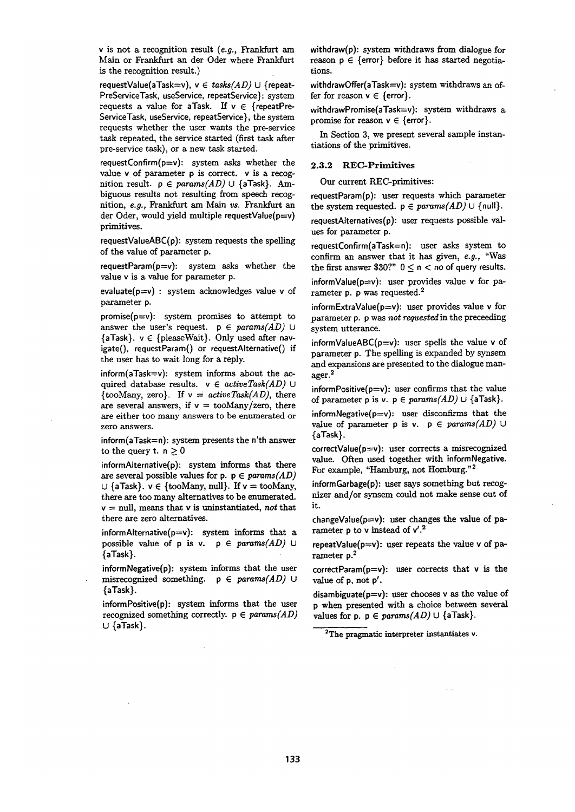v is not a recognition result *(e.g., Frankfurt am*  Main or Frankfurt an der Oder where Frankfurt is the recognition result.)

requestValue(aTask=v), v E *tasks(AD)* U {repeat-PreServiceTask, useService, repeatService}: system requests a value for aTask. If  $v \in \{repeatPre-$ ServiceTask, useService, repeatService}, the system requests whether the user wants the pre-service task repeated, the service started (first task after pre-service task), or a new task started.

requestConfirm( $p=v$ ): system asks whether the value v of parameter p is correct, v is a recognition result.  $p \in *params(AD)* \cup {aTask}$ . Ambignous results not resulting from speech recognition, *e.g.*, Frankfurt am Main vs. Frankfurt an der Oder, would yield multiple requestValue(p=v) primitives.

requestValueABC(p): system requests the spelling of the value of parameter p.

requestParam(p=v): system asks whether the value v is a value for parameter p.

evaluate( $p=v$ ) : system acknowledges value v of parameter p.

promise( $p=v$ ): system promises to attempt to answer the user's request.  $p \in *params(AD)*$  U  ${aTask}$ .  $v \in {pleaseWait}$ . Only used after navigate(), requestParam() or requestAIternative() if the user has to wait long for a reply.

inform(aTask=v): system informs about the acquired database results.  $v \in activeTask(AD)$  U {tooMany, zero}. If  $v = activeTask(AD)$ , there are several answers, if  $v = \text{to} \frac{\text{Many}}{\text{zero}}$ , there are either too many answers to be enumerated or zero answers.

inform(aTask=n): system presents the n'th answer to the query t.  $n \geq 0$ 

inforrnAIternative(p): system informs that there are several possible values for  $p \in \text{params}(AD)$  $\cup$  {aTask}.  $v \in$  {tooMany, null}. If  $v =$  tooMany, there are too many alternatives to be enumerated. v = null, means that v is uninstantiated, *not* that there are zero alternatives.

informAlternative( $p=v$ ): system informs that a possible value of  $p$  is  $v$ .  $p \in *params(AD)*$  U {aTask}.

 $informNe$ gative $(p)$ : system informs that the user misrecognized something,  $p \in *params(AD)*$  U {aTask}.

informPositive(p): system informs that the user recognized something correctly,  $p \in *params(AD)*$ U {aTask}.

withdraw(p): system withdraws from dialogue for reason  $p \in$  {error} before it has started negotiations.

withdrawOffer(aTask=v): system withdraws an offer for reason  $v \in$  {error}.

withdrawPromise(aTask=v): system withdraws a promise for reason  $v \in \{error\}$ .

In Section 3, we present several sample instantiations of the primitives.

### **2.3.2 REC-Primitives**

Our current REC-primitives:

requestParam(p): user requests which parameter the system requested,  $p \in *params(AD)* \cup \{null\}$ .

requestAIternatives(p): user requests possible values for parameter p.

requestConffirm(aTask=n): user asks system to confirm an answer that it has given, *e.g.,* "Was the first answer \$30?"  $0 \le n <$  no of query results.

informValue( $p=v$ ): user provides value v for parameter p. p was requested.<sup>2</sup>

informExtraValue( $p=v$ ): user provides value v for parameter p. p was *not requested* in the preceeding system utterance.

informValueABC( $p=v$ ): user spells the value v of parameter p. The spelling is expanded by synsem and expansions are presented to the dialogue manager. 2

informPositive( $p=v$ ): user confirms that the value of parameter p is v.  $p \in params(AD) \cup \{aTask\}.$ 

informNegative $(p=v)$ : user disconfirms that the value of parameter p is v.  $p \in *params(AD)*$  U {aTask}.

correctValue(p=v): user corrects a misrecognized value. Often used together with informNegative. For example, "Hamburg, not Homburg. "2

informGarbage(p): user says something but recognizer and/or synsem could not make sense out of it.

changeValue( $p=v$ ): user changes the value of  $pa$ rameter p to v instead of v'.<sup>2</sup>

repeatValue( $p=v$ ): user repeats the value v of parameter p.2

 $correctParam(p=v):$  user corrects that v is the value of p, not p'.

disambiguate( $p=v$ ): user chooses v as the value of p when presented with a choice between several values for p.  $p \in *params(AD)* \cup {aTask}.$ 

<sup>2</sup>The pragmatic interpreter instantiates v.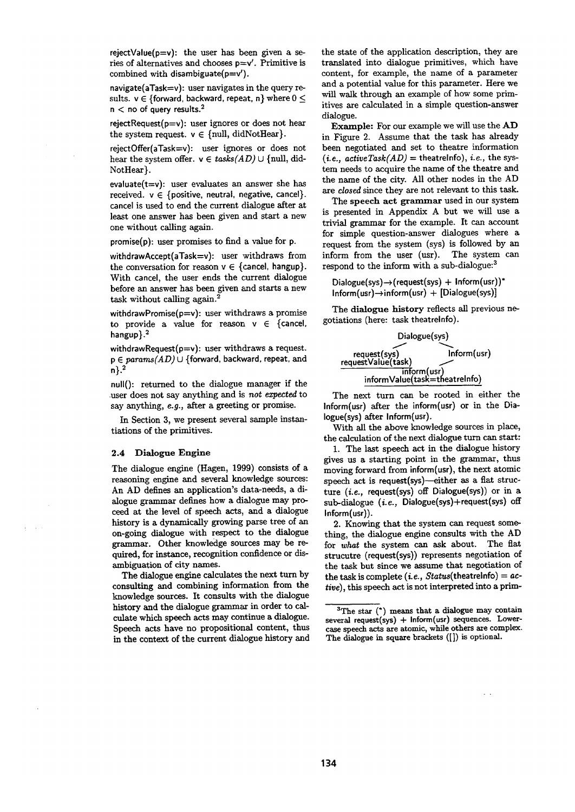rejectValue( $p=v$ ): the user has been given a series of alternatives and chooses  $p=v'$ . Primitive is combined with disambiguate $(p=v')$ .

navigate(aTask=v): user navigates in the query results.  $v \in \{forward, backward, repeat, n\}$  where  $0 \leq$  $n <$  no of query results.<sup>2</sup>

rejectRequest( $p=v$ ): user ignores or does not hear the system request,  $v \in \{null, didNotHex\}.$ 

rejectOffer(aTask=v): user ignores or does not hear the system offer,  $v \in \text{tasks}(AD) \cup \{\text{null}, \text{did-}\}$ NotHear}.

evaluate $(t=v)$ : user evaluates an answer she has received.  $v \in \{positive, neutral, negative, cancel\}.$ cancel is used to end the current dialogue after at least one answer has been given and start a new one without calling again.

promise(p): user promises to find a value for p.

withdrawAccept(aTask=v): user withdraws from the conversation for reason  $v \in \{\text{cancel}, \text{hangu}}\}.$ With cancel, the user ends the current dialogue before an answer has been given and starts a new task without calling again.<sup>2</sup>

withdrawPromise( $p=v$ ): user withdraws a promise to provide a value for reason  $v \in \{c$  ancel, hangup}.<sup>2</sup>

withdrawRequest( $p=v$ ): user withdraws a request. *p E params(AD)* U {forward, backward, repeat, and  $n$ ,  $2$ 

null(): returned to the dialogue manager if the ,user does not say anything and is *not ezpected* to say anything, *e.g.,* after a greeting or promise.

In Section 3, we present several sample instantiations of the primitives.

## 2.4 Dialogue Engine

The dialogue engine (Hagen, 1999) consists of a reasoning engine and several knowledge sources: An AD defines an application's data-needs, a dialogue grammar defines how a dialogue may proceed at the level of speech acts, and a dialogue history is a dynamically growing parse tree of an on-going dialogue with respect to the dialogue grammar. Other knowledge sources may be required, for instance, recognition confidence or disambiguation of city names.

The dialogue engine calculates the next turn by consulting and combining information from **the**  knowledge sources. It consults with the dialogue history and the dialogue grammar in order to calculate which speech acts may continue a dialogue. Speech acts have no propositional content, thus in the context of the current dialogue history and the state of the application description, they are translated into dialogue primitives, which have content, for example, the name of a parameter and a potential value for this parameter. Here we will walk through an example of how some primitives are calculated in a simple question-answer dialogue.

Example: For our example we will use the AD in Figure 2. Assume that the task has already been negotiated and set to theatre information  $(i.e., activeTask(AD) = the atrelnfo), i.e., the sys$ tem needs to acquire the name of the theatre and the name of the city. All other nodes in the AD *are closed* since they are not relevant to this task.

The speech act grammar used in our system is presented in Appendix A but we will use a trivial grammar for the example. It can account for simple question-answer dialogues where a request from the system (sys) is followed by an inform from the user (usr). The system can respond to the inform with a sub-dialogue:<sup>3</sup>

 $Dialogue(sys) \rightarrow (request(sys) + Inform(usr))^*$  $Inform(usr) \rightarrow inform(usr) + [Dialogue(sys)]$ 

The dialogue history reflects all previous negotiations (here: task theatreinfo).



The next turn can be rooted in either the Inform(usr) after the inform(usr) or in the Dia-Iogue(sys) after Inform(usr).

With all the above knowledge sources in place, the calculation of the next dialogue turn can start:

1. The last speech act in the dialogue history gives us a starting point in the grammar, thus moving forward from inform(usr), the next atomic speech act is request(sys)-either as a flat structure *(i.e.,* request(sys) off Dialogue(sys)) or in a sub-dialogue (i.e., Dialogue(sys)+request(sys) off Inform(usr)).

2. Knowing that the system can request something, the dialogue engine consults with the AD for *what* the system can ask about. The flat strucutre (request(sys)) represents negotiation of the task but since we assume that negotiation of **the** task is complete *(i.e., Status(theatrelnfo) = active),* this speech act is not interpreted into a prim-

 ${}^{3}$ The star (\*) means that a dialogue may contain  $several$  request(sys) + Inform(usr) sequences. Lowercase speech acts are atomic, while others are complex. The dialogue in square brackets ([]) is optional.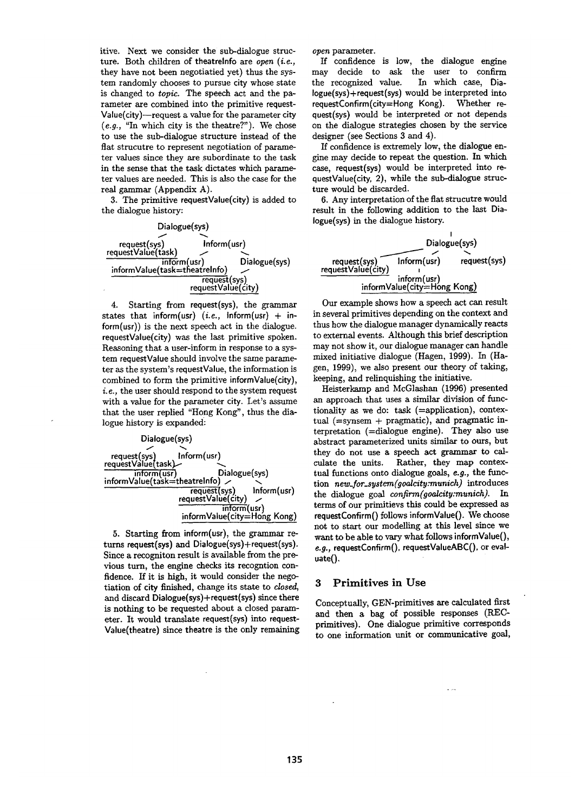itive. Next we consider the sub-diaJogue structure. Both children of theatrelnfo are *open (i.e.,*  they have not been negotiatied yet) thus the system randomly chooses to pursue city whose state is changed to *topic.* The speech act and the parameter are combined into the primitive request-Value(city)--request a value for the parameter city *(e.g.,* "In which city is the theatre?"). We chose to use the sub-dialogue structure instead of the flat strucutre to represent negotiation of parameter values since they are subordinate to the task in the sense that the task dictates which parameter values are needed. This is also the case for the real gammar (Appendix A).

3. The primitive requestValue(city) is added to the dialogue history:



4. Starting from request(sys), the grammar states that inform(usr) *(i.e.,* Inform(usr) + inform(usr)) is the next speech act in the dialogue. requestValue(city) was the last primitive spoken. Reasoning that a user-inform in response to a system requestValue should involve the same parameter as the system's requestValue, the information is combined to form the primitive informValue(city), *i.e.*, the user should respond to the system request with a value for the parameter city. Let's assume that the user replied "Hong Kong", thus the dialogue history is expanded:



 $5.$  Starting from inform(usr), the grammar returns request(sys) and  $Dialogue(sys) + request(sys)$ . Since a recogniton result is available from the previous turn, the engine checks its recogntion confidence. If it is high, it would consider the negotiation of city finished, change its state to *closed,*  and discard Dialogue(sys)+request(sys) since there is nothing to be requested about a closed parameter. It would translate request(sys) into request-Value(theatre) since theatre is the only remaining *open* parameter.

If confidence is low, the dialogue engine may decide to ask the user to confirm the recognized value. In which case, Dia-*Iogue(sys)+request(sys)* would be interpreted into requestConfirm(city=Hong Kong). Whether request(sys) would be interpreted or not depends on the dialogue strategies chosen by the service designer (see Sections 3 and 4).

If confidence is extremely low, the dialogue engine may decide to repeat the question. In which case, request(sys) would be interpreted into requestValue(city, 2), while the sub-dialogue structure would be discarded.

6. Any interpretation of the flat strucutre would result in the following addition to the last Dia-Iogue(sys) in the dialogue history.

|                                    | Dialogue(sys)                              |              |
|------------------------------------|--------------------------------------------|--------------|
| request(sys)<br>requestValue(city) | Inform(usr)                                | request(sys) |
|                                    | inform(usr)<br>informValue(city=Hong Kong) |              |

Our example shows how a speech act can result in several primitives depending on the context and thus how the dialogue manager dynamically reacts to external events. Although this brief description may not show it, our dialogue manager can handle mixed initiative dialogue (Hagen, 1999). In (Hagen, 1999), we also present our theory of taking, keeping, and relinquishing the initiative.

Heisterkamp and McGlashan (1996) presented an approach that uses a similar division of functionality as we do: task (=application), contextual  $($ =synsem + pragmatic), and pragmatic interpretation (=dialogue engine). They also use abstract parameterized units similar to ours, but they do not use a speech act grammar to calculate the units. Rather, they map contextual functions onto dialogue goals, *e.g.,* the function *new\_for\_system(gaalcity:munich)* introduces the dialogue goal *confirm(goalcity:munich). In*  terms of our primitievs this could be expressed as requestConfirm() follows informValue(). We choose not to start our modelling at this level since we want to be able to vary what follows informValue(), e.g., requestConfirm(), requestValueABC(), or eval**uate().** 

# 3 Primitives in Use

Conceptually, GEN-primitives are calculated first and then a bag of possible responses (RECprimitives). One dialogue primitive corresponds to one information unit or communicative goal,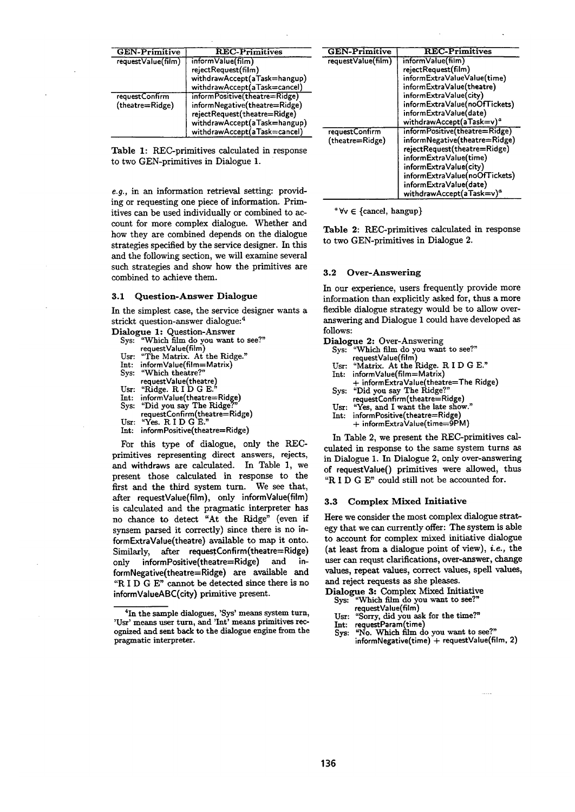| <b>GEN-Primitive</b>              | <b>REC-Primitives</b>                                                                                                                                          |
|-----------------------------------|----------------------------------------------------------------------------------------------------------------------------------------------------------------|
| requestValue(film)                | informValue(film)<br>rejectRequest(film)<br>withdrawAccept(aTask=hangup)<br>withdrawAccept(aTask=cancel)                                                       |
| requestConfirm<br>(theatre=Ridge) | informPositive(theatre=Ridge)<br>informNegative(theatre=Ridge)<br>rejectRequest(theatre=Ridge)<br>withdrawAccept(aTask=hangup)<br>withdrawAccept(aTask=cancel) |

Table 1: REC-primitives calculated in response to two GEN-primitives in Dialogue 1.

*e.g.,* in an information retrieval setting: providing or requesting one piece of information. Primitives can be used individually or combined to account for more complex dialogue. Whether and how they are combined depends on the dialogue strategies specified by the service designer. In this and the following section, we will examine several such strategies and show how the primitives are combined to achieve them.

### **3.1** Question-Answer Dialogue

In the simplest case, the service designer wants a strickt question-answer dialogue: 4

- Dialogue 1: Question-Answer<br>Sys: "Which film do you want
	- "Which film do you want to see?" requestValue(film)
	- Usr: "The Matrix. At the Ridge."
	- Int: informValue(film= Matrix)
	- Sys: "Which theatre?
	- requestValue(theatre) Usr: "Ridge. R I D G E.
	-
	- Int: informValue(theatre=Ridge)<br>Sys: "Did you say The Ridge?" "Did you say The Ridge
	- requestConfirm(theatre=Ridge)
	- Usr: "Yes. R I D G E."
	- Int: inform Positive(theatre=Ridge)

For this type of dialogue, only the RECprimitives representing direct answers, rejects, and withdraws are calculated. In Table 1, we present those calculated in response to the first and the third system turn. We see that, after requestValue(film), only informValue(film) is calculated and the pragmatic interpreter has no chance to detect "At the Ridge" (even if synsem parsed it correctly) since there is no informExtraValue(theatre) available to map it onto. Similarly, after requestConfirm(theatre=Ridge) only informPositive(theatre=Ridge) and informNegative(theatre=Ridge) are available and *"R* I D G E" cannot be detected since there is no informValueABC(city) primitive present.

| <b>GEN-Primitive</b>              | <b>REC-Primitives</b>                                                                                                                                                                                                                                 |  |
|-----------------------------------|-------------------------------------------------------------------------------------------------------------------------------------------------------------------------------------------------------------------------------------------------------|--|
| request Value(film)               | informValue(film)<br>rejectRequest(film)<br>informExtraValueValue(time)<br>informExtraValue(theatre)<br>informExtraValue(city)<br>informExtraValue(noOfTickets)                                                                                       |  |
|                                   | informExtraValue(date)<br>withdrawAccept(aTask=v) <sup>a</sup>                                                                                                                                                                                        |  |
| requestConfirm<br>(theatre=Ridge) | informPositive(theatre=Ridge)<br>informNegative(theatre=Ridge)<br>rejectRequest(theatre=Ridge)<br>informExtraValue(time)<br>informExtraValue(city)<br>informExtraValue(noOfTickets)<br>informExtraValue(date)<br>withdrawAccept(aTask=v) <sup>a</sup> |  |

 $\forall v \in \{cancel, hangup\}$ 

Table 2: REC-primitives calculated in response to two GEN-primitives in Dialogue 2.

#### 3.2 Over-Answering

In our experience, users frequently provide more information than explicitly asked for, thus a more flexible dialogue strategy would be to allow overanswering and Dialogue 1 could have developed as follows:

- Dialogue 2: Over-Answering
	- Sys: "Which film do you want to see?" requestValue(film)
	- Usr: "Matrix. At the Ridge. R I D G E."
	- Int: informValue(film= Matrix)
	- + informExtraValue(theatre=The Ridge) Sys: "Did you say The Ridge?
		- requestConfirm (theatre=Ridge)
	- Usr: "Yes, and I want the late show."
	- Int: informPositive(theatre=Ridge)
	- + informExtraValue(time=9P M)

In Table 2, we present the REC-primitives calculated in response to the same system turns as in Dialogue 1. In Dialogue 2, only over-answering of requestValue() primitives were allowed, thus "R I D G E" could still not be accounted for.

# **3.3** Complex Mixed Initiative

Here we consider the most complex dialogue strategy that we can currently offer: The system is able to account for complex mixed initiative dialogue (at least from a dialogue point of view), *i.e.,* the user can requst clarifications, over-answer, change values, repeat values, correct values, spell values, and reject requests as she pleases.

- Dialogue 3: Complex Mixed Initiative Sys: "Which film do you want to see?"
	- requestValue(film)
	- Usr: "Sorry, did you ask for the time?"
- 
- Int: requestParam(time)<br>Sys: "No. Which film do you want to see?" informNegative(time) + requestValue(film, 2)

<sup>&</sup>lt;sup>4</sup>In the sample dialogues, 'Sys' means system turn, 'Usr' means user turn, and 'Int' means primitives recognized and sent back to the dialogue engine from the pragmatic interpreter.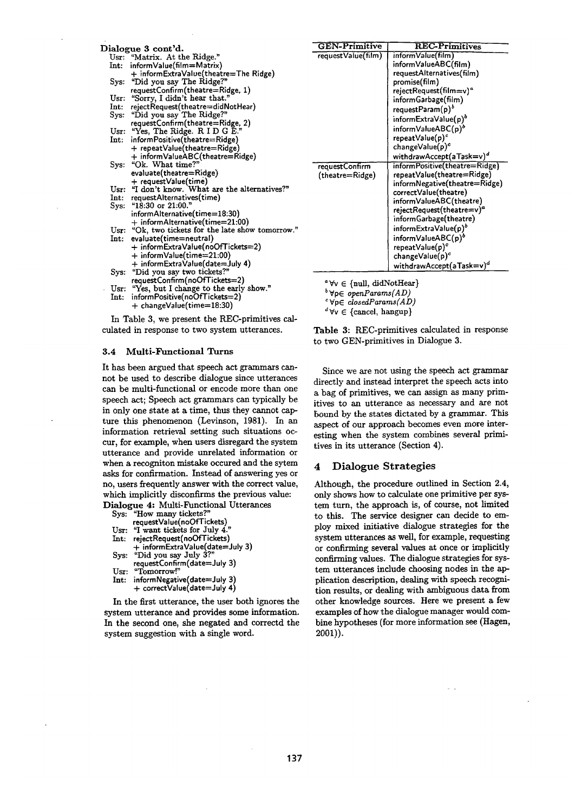| Dialogue 3 cont'd. |                  |                                                                         |
|--------------------|------------------|-------------------------------------------------------------------------|
|                    | Usr:             | "Matrix. At the Ridge."                                                 |
|                    | Int:             | informValue(film=Matrix)                                                |
|                    |                  | + informExtraValue(theatre=The Ridge)                                   |
|                    |                  | Sys: "Did you say The Ridge?"                                           |
|                    |                  | requestConfirm(theatre=Ridge, 1)                                        |
|                    | Usr:             | "Sorry, I didn't hear that."                                            |
|                    | Int:             | rejectRequest(theatre=didNotHear)                                       |
|                    | Sys:             | "Did you say The Ridge?"                                                |
|                    |                  | requestConfirm(theatre=Ridge, 2)                                        |
|                    | Usr:             | "Yes, The Ridge. R I D G E."                                            |
|                    | $\mathbf{Int}$ : | informPositive(theatre=Ridge)                                           |
|                    |                  | + repeatValue(theatre=Ridge)                                            |
|                    |                  | + informValueABC(theatre=Ridge)                                         |
|                    | Sys:             | "Ok. What time?"                                                        |
|                    |                  | evaluate(theatre=Ridge)                                                 |
|                    |                  | + requestValue(time)<br>Usr: "I don't know. What are the alternatives?" |
|                    |                  |                                                                         |
|                    |                  | Int: requestAlternatives(time)                                          |
|                    | Sys:             | "18:30 or $21:00."$                                                     |
|                    |                  | informAlternative(time=18:30)                                           |
|                    |                  | + informAlternative(time=21:00)                                         |
|                    |                  | Usr: "Ok, two tickets for the late show tomorrow."                      |
|                    | Int.             | evaluate(time=neutral)                                                  |
|                    |                  | + informExtraValue(noOfTickets=2)                                       |
|                    |                  | + informValue(time=21:00)                                               |
|                    |                  | + informExtraValue(date=July 4)                                         |
|                    | Sys:             | "Did you say two tickets?"                                              |
|                    |                  | requestConfirm(noOfTickets=2)                                           |
|                    |                  | Usr: "Yes, but I change to the early show."                             |
|                    | Int:             | informPositive(noOfTickets=2)                                           |
|                    |                  | + changeValue(time=18:30)                                               |
|                    |                  | In Table 3, we present the REC-primitives cal-                          |

In Table 3, we present the REC-primitives calculated in response to two system utterances.

#### 3.4 Multi-Functional Turns

It has been argued that speech act grammars cannot be used to describe dialogue since utterances can be multi-functional or encode more than one speech act; Speech act grammars can typically be in only one state at a time, thus they cannot capture this phenomenon (Levinson, 1981). In an information retrieval setting such situations occur, for example, when users disregard the system utterance and provide unrelated information or when a recogniton mistake occured and the sytem asks for confirmation. Instead of answering yes or no, users frequently answer with the correct value, which implicitly disconfirms the previous value: Dialogue 4: Multi-Functional Utterances

|         | <b>MIOEUC I.</b> MURT L'ONCHOM      |
|---------|-------------------------------------|
|         | Sys: "How many tickets?"            |
|         | requestValue(noOfTickets)           |
|         | Usr: "I want tickets for July $4."$ |
| Int:    | rejectRequest(noOfTickets)          |
|         | + informExtraValue(date=July 3)     |
| $Sys$ : | "Did you say July 3?"               |
|         | requestConfirm(date=July 3)         |
| Usr:    | "Tomorrow!"                         |
| Int:    | informNegative(date=July 3)         |
|         | + correctValue(date=July 4)         |
|         |                                     |

In the first utterance, the user both ignores the system utterance and provides some information. In the second one, she negated and correctd the system suggestion with a single word.

| <b>GEN-Primitive</b> | <b>REC-Primitives</b>                 |
|----------------------|---------------------------------------|
| request Value(film)  | informValue(film)                     |
|                      | informValueABC(film)                  |
|                      | requestAlternatives(film)             |
|                      | promise(film)                         |
|                      | rejectRequest(film=v)ª                |
|                      | informGarbage(film)                   |
|                      | requestParam $(p)^b$                  |
|                      | informExtraValue(p) <sup>o</sup>      |
|                      | informValueABC(p) <sup>b</sup>        |
|                      | repeatValue(p) <sup>c</sup>           |
|                      | $changeValue(p)^c$                    |
|                      | withdrawAccept(aTask=v) <sup>a</sup>  |
| requestConfirm       | informPositive(theatre=Ridge)         |
| (theatre=Ridge)      | repeatValue(theatre=Ridge)            |
|                      | informNegative(theatre=Ridge)         |
|                      | correctValue(theatre)                 |
|                      | informValueABC(theatre)               |
|                      | rejectRequest(theatre=v) <sup>a</sup> |
|                      | informGarbage(theatre)                |
|                      | informExtraValue(p) <sup>o</sup>      |
|                      | informValueABC(p) <sup>b</sup>        |
|                      | $repeatValue(p)^c$                    |
|                      | $changeValue(p)^c$                    |
|                      | withdrawAccept(aTask=v) <sup>d</sup>  |

 $^a$   $\forall v \in$  {null, didNotHear}

~VpE *openParams(AD)* 

VpE *closedParams(AD)* 

 $d \forall v \in \{cancel, hangup\}$ 

Table 3: REC-primitives calculated in response to two GEN-primitives in Dialogue 3.

Since we are not using the speech act grammar directly and instead interpret the speech acts into a bag of primitives, we can assign as many primitives to an utterance as necessary and are not bound by the states dictated by a grammar. This aspect of our approach becomes even more interesting when the system combines several primitives in its utterance (Section 4).

# 4 Dialogue Strategies

Although, the procedure outlined in Section 2.4, only shows how to calculate one primitive per system turn, the approach is, of course, not limited to this. The service designer can decide to employ mixed initiative dialogue strategies for the system utterances as well, for example, requesting or confirming several values at once or implicitly confirming values. The dialogue strategies for system utterances include choosing nodes in the application description, dealing with speech recognition results, or dealing with ambiguous data from other knowledge sources. Here we present a few examples of how the dialogue manager would combine hypotheses (for more information see (Hagen, 2001)).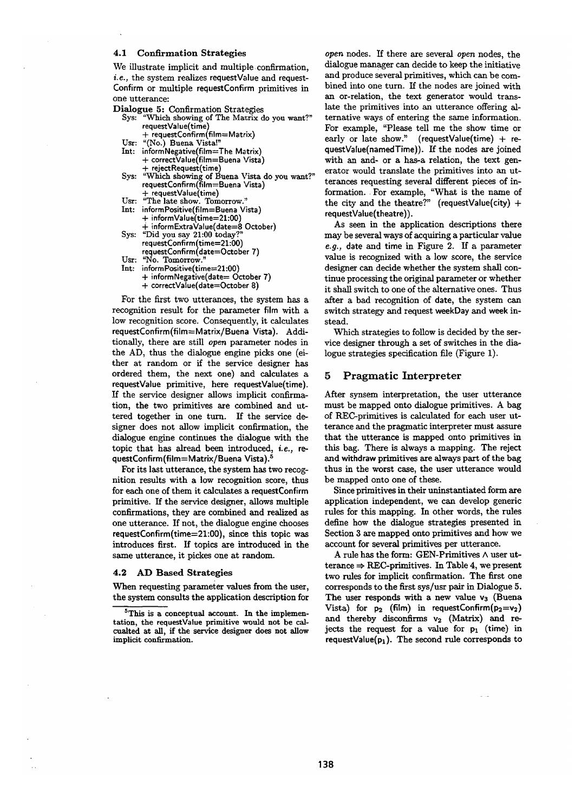### 4.1 Confirmation Strategies

We illustrate implicit and multiple confirmation, *i.e.*, the system realizes requestValue and request-Confirm or multiple requestConfirm primitives in one utterance:

# Dialogue 5: Confirmation Strategies<br>Sys: "Which showing of The Matrix d

- "Which showing of The Matrix do you want?" requestValue(time)
	- + requestConfirm (film=Matrix)
- Usr: "(No.) Buena Vista!"
- Int: informNegative(film=The Matrix) + correct:Value(film=Buena Vista) - rejectRequest(time)
- Sys: "Which showing of Buena Vista do you want?" requestConfirm(film=Buena Vista) + requestValue(time)
- Usr: "The late show. Tomorrow."
- Int: inforrnPositive(film=Buena Vista) informValue(time=21:00)
- + infformExtraValue(date=8 October) Sys: "Did you say 21:00 today?"
- requestConfirm(time=21:00) requestConfirm(date=October 7)
- Usr: "No. Tomorrow.
- Int: inform Positive(time=21:00) + informNegative(date= October 7) + correctValue(date=October 8)

For the first two utterances, the system has a recognition result for the parameter film with a low recognition score. Consequently, it calculates requestConfirm(film=Matrix/Buena Vista). Additionally, there are still *open* parameter nodes in the AD, thus the dialogue engine picks one (either at random or if the service designer has ordered them, the next one) and calculates a requestValue primitive, here requestValue(time). If the service designer allows implicit confirmation, the two primitives are combined and uttered together in one turn. If the service de. signer does not allow implicit confirmation, the dialogue engine continues the dialogue with the topic that has alread been introduced, *i.e., re.*  questConfirm (film=Matrix/Buena Vista).<sup>5</sup>

For its last utterance, the system has two recognition results with a low recognition score, thus for each one of them it calculates a requestConfirm primitive. If the service designer, allows multiple confirmations, they are combined and realized as one utterance. If not, the dialogue engine chooses requestConfirm(time=21:00), since this topic was introduces first. If topics are introduced in the same utterance, it pickes one at random.

### **4.2 AD Based Strategies**

When requesting parameter values from the user, the system consults the application description for *open* nodes. If there are several *open* nodes, the dialogue manager can decide to keep the initiative and produce several primitives, which can be combined into one turn. If the nodes are joined with an or-relation, the text generator would translate the primitives into an utterance offering alternative ways of entering the same information. For example, "Please tell me the show time or early or late show." (requestValue(time) + requestValue(namedTime)). If the nodes are joined with an and- or a has-a relation, the text generator would translate the primitives into an utterances requesting several different pieces of information. For example, "What is the name of the city and the theatre?" (requestValue(city) + requestValue(theatre)).

As seen in the application descriptions there may be several ways of acquiring a particular value *e.g.,* date and time in Figure 2. If a parameter value is recognized with a low score, the service designer can decide whether the system shall continue processing the original parameter or whether it shall switch to one of the alternative ones. Thus after a bad recognition of date, the system can switch strategy and request weekDay and week instead.

Which strategies to follow is decided by the service designer through a set of switches in the dialogue strategies specification file (Figure 1).

### 5 Pragmatic Interpreter

After synsem interpretation, the user utterance must be mapped onto dialogue primitives. A bag of REC-primitives is calculated for each user utterance and the pragmatic interpreter must assure that the utterance is mapped onto primitives in this bag. There is always a mapping. The reject and withdraw primitives are always part of the bag thus in the worst case, the user utterance would be mapped onto one of these.

Since primitives in their uninstantiated form are application independent, we can develop generic rules for this mapping. In other words, the rules define how the dialogue strategies presented in Section 3 are mapped onto primitives and how we account for several primitives per utterance.

A rule has the form: GEN-Primitives A user utterance  $\Rightarrow$  REC-primitives. In Table 4, we present two rules for implicit confirmation. The first one corresponds to the first sys/usr pair in Dialogue 5. The user responds with a new value  $v_3$  (Buena Vista) for  $p_2$  (film) in requestConfirm( $p_2=v_2$ ) and thereby disconfirms  $v_2$  (Matrix) and rejects the request for a value for  $p_1$  (time) in requestValue( $p_1$ ). The second rule corresponds to

<sup>&</sup>lt;sup>5</sup>This is a conceptual account. In the implementation, the requestValue primitive would not be calcualted at all, if the service designer does not allow implicit confirmation.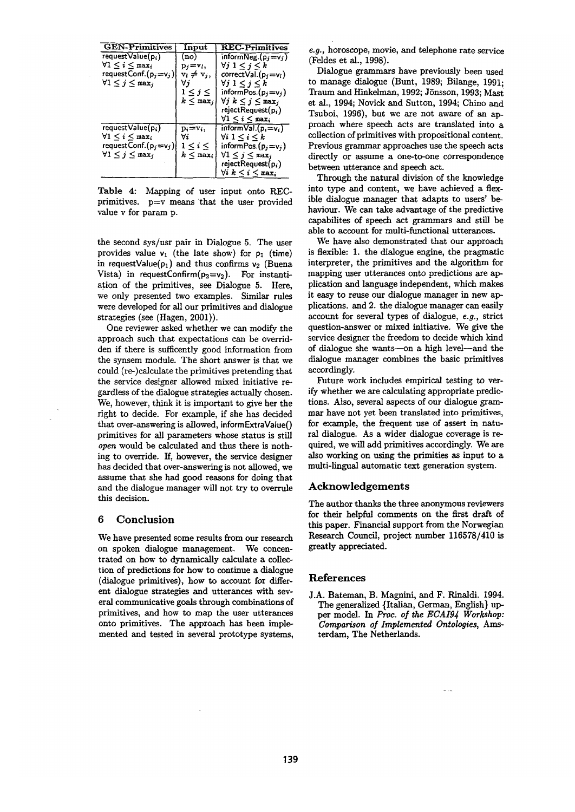| <b>GEN-Primitives</b>                | Input                           | $\operatorname{REC-Primitives}$         |
|--------------------------------------|---------------------------------|-----------------------------------------|
| $requestValue(p_i)$                  | (no)                            | $informNeg.(p_i=v_i)$                   |
| $\forall 1\leq i\leq \texttt{max}_i$ | $p_i = v_i$                     | $\forall j \; 1 \leq j \leq k$          |
| requestConf. $(p_j=v_j)$             | $v_i \neq v_j$                  | correct Val. $(p_i = v_i)$              |
| $\forall 1 \leq j \leq \max_i$       | ∀j                              | $\forall j \; 1 \leq j \leq k$          |
|                                      | 1 < j < j                       | informPos. $(p_j=v_j)$                  |
|                                      | $k < \max_i$                    | $\forall j \; k \leq j \leq \max_i$     |
|                                      |                                 | $rejectRequest(p_i)$                    |
|                                      |                                 | $\forall 1 \leq i \leq \max$            |
| request Value(pi)                    | $\mathbf{p}_i = \mathbf{v}_i$ , | $informVal.(p_i=v_i)$                   |
| $\forall 1 \leq i \leq \max_i$       | Vi                              | $\forall i\; 1\leq i\leq k$             |
| request Conf. $(p_j = v_j)$          | $1 \leq i \leq$                 | inform Pos. $(p_i = v_i)$               |
| $\forall 1 \leq j \leq \max_i$       | $k \leq \texttt{max}_i$         | $\forall 1 \leq j \leq \max_j$          |
|                                      |                                 | rejectRequest(p;)                       |
|                                      |                                 | $\forall i\;k\leq i\leq \mathtt{max}_i$ |

Table 4: Mapping of user input onto RECprimitives, p=v means that the user provided value v for param p.

the second sys/usr pair in Dialogue 5. The user provides value  $v_1$  (the late show) for  $p_1$  (time) in requestValue( $p_1$ ) and thus confirms  $v_2$  (Buena Vista) in requestConfirm( $p_2=v_2$ ). For instantiation of the primitives, see Dialogue 5. Here, we only presented two examples. Similar rules were developed for all our primitives and dialogue strategies (see (Hagen, 2001)).

One reviewer asked whether we can modify the approach such that expectations can be overridden if there is sufficently good information from the synsem module. The short answer is that we could (re-)calcnlate the primitives pretending that the service designer allowed mixed initiative regardless of the dialogue strategies actually chosen. We, however, think it is important to give her the right to decide. For example, if she has decided that over-answering is allowed, informExtraValue() primitives for all parameters whose status is still *open* would be calculated and thus there is nothing to override. If, however, the service designer has decided that over-answering is not allowed, we assume that she had good reasons for doing that and the dialogue manager will not try to overrule this decision.

# **6 Conclusion**

We have presented some results from our research on spoken dialogue management. We concentrated on how to dynamically calculate a collection of predictions for how to continue a dialogue (dialogue primitives), how to account for different dialogue strategies and utterances with several communicative goals through combinations of primitives, and how to map the user utterances onto primitives. The approach has been implemented and tested in several prototype systems,

*e.g.,* horoscope, movie, and telephone rate service (Feldes et al., 1998).

Dialogue grammars have previously been used to manage dialogue (Bunt, 1989; Bilange, 1991; Traum and Hinkelman, 1992; Jönsson, 1993; Mast. et al., 1994; Novick and Sutton, 1994; Chino and Tsuboi, 1996), but we are not aware of an approach where speech acts are translated into a collection of primitives with propositional content. Previous grammar approaches use the speech acts directly or assume a one-to-one correspondence between utterance and speech act.

Through the natural division of the knowledge into type and content, we have achieved a flexible dialogue manager that adapts to users' behaviour. We can take advantage of the predictive capabilites of speech act grammars and still be able to account for multi-functional utterances.

We have also demonstrated that our approach is flexible: 1. the dialogue engine, the pragmatic interpreter, the primitives and the algorithm for mapping user utterances onto predictions are application and language independent, which makes it easy to reuse our dialogue manager in new applications, and 2. the dialogue manager can easily account for several types of dialogue, *e.g.,* strict question-answer or mixed initiative. We give the service designer the freedom to decide which kind of dialogue she wants-on a high level--and the dialogue manager combines the basic primitives accordingly.

Future work includes empirical testing to verify whether we are calculating appropriate predictions. Also, several aspects of our dialogue grammar have not yet been translated into primitives, for example, the frequent use of assert in natural dialogue. As a wider dialogue coverage is required, we will add primitives accordingly. We are also working on using the primities as input to a multi-lingual automatic text generation system.

# **Acknowledgements**

The author thanks the three anonymous reviewers for their helpful comments on the first draft of this paper. Financial support from the Norwegian Research Council, project number 116578/410 is greatly appreciated.

### **References**

J.A. Bateman, B. Magnini, and F. Rinaldi. 1994. The generalized {Italian, German, English} upper model. In Proe. *of the ECAI9J Workshop: Comparison of Implemented Ontologies, Ams*terdam, The Netherlands.